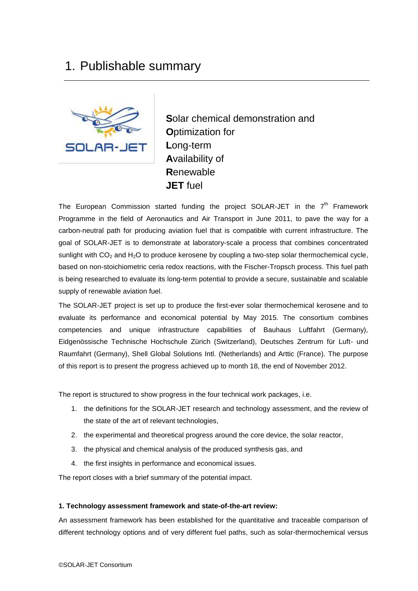# 1. Publishable summary



**S**olar chemical demonstration and **O**ptimization for **L**ong-term **A**vailability of **R**enewable **JET** fuel

The European Commission started funding the project SOLAR-JET in the  $7<sup>th</sup>$  Framework Programme in the field of Aeronautics and Air Transport in June 2011, to pave the way for a carbon-neutral path for producing aviation fuel that is compatible with current infrastructure. The goal of SOLAR-JET is to demonstrate at laboratory-scale a process that combines concentrated sunlight with  $CO<sub>2</sub>$  and  $H<sub>2</sub>O$  to produce kerosene by coupling a two-step solar thermochemical cycle, based on non-stoichiometric ceria redox reactions, with the Fischer-Tropsch process. This fuel path is being researched to evaluate its long-term potential to provide a secure, sustainable and scalable supply of renewable aviation fuel.

The SOLAR-JET project is set up to produce the first-ever solar thermochemical kerosene and to evaluate its performance and economical potential by May 2015. The consortium combines competencies and unique infrastructure capabilities of Bauhaus Luftfahrt (Germany), Eidgenössische Technische Hochschule Zürich (Switzerland), Deutsches Zentrum für Luft- und Raumfahrt (Germany), Shell Global Solutions Intl. (Netherlands) and Arttic (France). The purpose of this report is to present the progress achieved up to month 18, the end of November 2012.

The report is structured to show progress in the four technical work packages, i.e.

- 1. the definitions for the SOLAR-JET research and technology assessment, and the review of the state of the art of relevant technologies,
- 2. the experimental and theoretical progress around the core device, the solar reactor,
- 3. the physical and chemical analysis of the produced synthesis gas, and
- 4. the first insights in performance and economical issues.

The report closes with a brief summary of the potential impact.

#### **1. Technology assessment framework and state-of-the-art review:**

An assessment framework has been established for the quantitative and traceable comparison of different technology options and of very different fuel paths, such as solar-thermochemical versus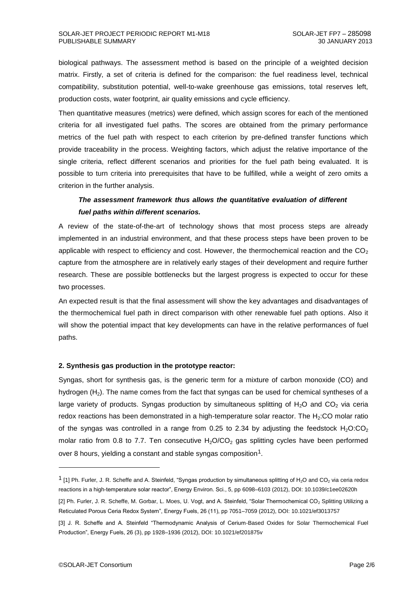biological pathways. The assessment method is based on the principle of a weighted decision matrix. Firstly, a set of criteria is defined for the comparison: the fuel readiness level, technical compatibility, substitution potential, well-to-wake greenhouse gas emissions, total reserves left, production costs, water footprint, air quality emissions and cycle efficiency.

Then quantitative measures (metrics) were defined, which assign scores for each of the mentioned criteria for all investigated fuel paths. The scores are obtained from the primary performance metrics of the fuel path with respect to each criterion by pre-defined transfer functions which provide traceability in the process. Weighting factors, which adjust the relative importance of the single criteria, reflect different scenarios and priorities for the fuel path being evaluated. It is possible to turn criteria into prerequisites that have to be fulfilled, while a weight of zero omits a criterion in the further analysis.

## *The assessment framework thus allows the quantitative evaluation of different fuel paths within different scenarios.*

A review of the state-of-the-art of technology shows that most process steps are already implemented in an industrial environment, and that these process steps have been proven to be applicable with respect to efficiency and cost. However, the thermochemical reaction and the  $CO<sub>2</sub>$ capture from the atmosphere are in relatively early stages of their development and require further research. These are possible bottlenecks but the largest progress is expected to occur for these two processes.

An expected result is that the final assessment will show the key advantages and disadvantages of the thermochemical fuel path in direct comparison with other renewable fuel path options. Also it will show the potential impact that key developments can have in the relative performances of fuel paths.

#### **2. Synthesis gas production in the prototype reactor:**

Syngas, short for synthesis gas, is the generic term for a mixture of carbon monoxide (CO) and hydrogen  $(H_2)$ . The name comes from the fact that syngas can be used for chemical syntheses of a large variety of products. Syngas production by simultaneous splitting of  $H_2O$  and  $CO_2$  via ceria redox reactions has been demonstrated in a high-temperature solar reactor. The  $H_2$ :CO molar ratio of the syngas was controlled in a range from 0.25 to 2.34 by adjusting the feedstock  $H_2O:CO_2$ molar ratio from 0.8 to 7.7. Ten consecutive  $H<sub>2</sub>O/CO<sub>2</sub>$  gas splitting cycles have been performed over 8 hours, yielding a constant and stable syngas composition<sup>1</sup>.

l

 $1$  [1] Ph. Furler, J. R. Scheffe and A. Steinfeld, "Syngas production by simultaneous splitting of H<sub>2</sub>O and CO<sub>2</sub> via ceria redox reactions in a high-temperature solar reactor", Energy Environ. Sci., 5, pp 6098–6103 (2012), DOI: 10.1039/c1ee02620h

<sup>[2]</sup> Ph. Furler, J. R. Scheffe, M. Gorbar, L. Moes, U. Vogt, and A. Steinfeld, "Solar Thermochemical CO<sup>2</sup> Splitting Utilizing a Reticulated Porous Ceria Redox System", Energy Fuels, 26 (11), pp 7051–7059 (2012), DOI: 10.1021/ef3013757

<sup>[3]</sup> J. R. Scheffe and A. Steinfeld "Thermodynamic Analysis of Cerium-Based Oxides for Solar Thermochemical Fuel Production", Energy Fuels, 26 (3), pp 1928–1936 (2012), DOI: 10.1021/ef201875v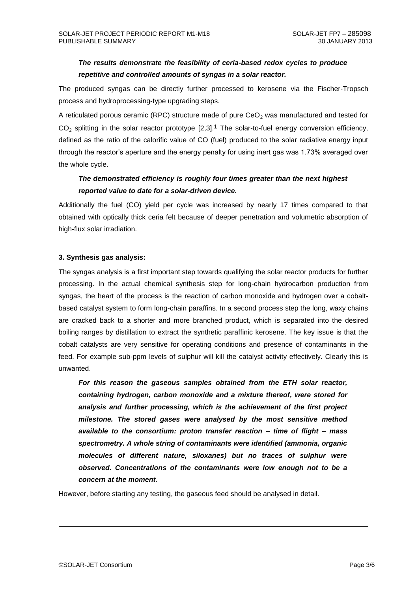### *The results demonstrate the feasibility of ceria-based redox cycles to produce repetitive and controlled amounts of syngas in a solar reactor.*

The produced syngas can be directly further processed to kerosene via the Fischer-Tropsch process and hydroprocessing-type upgrading steps.

A reticulated porous ceramic (RPC) structure made of pure  $CeO<sub>2</sub>$  was manufactured and tested for  $CO<sub>2</sub>$  splitting in the solar reactor prototype [2,3].<sup>1</sup> The solar-to-fuel energy conversion efficiency, defined as the ratio of the calorific value of CO (fuel) produced to the solar radiative energy input through the reactor's aperture and the energy penalty for using inert gas was 1.73% averaged over the whole cycle.

# *The demonstrated efficiency is roughly four times greater than the next highest reported value to date for a solar-driven device.*

Additionally the fuel (CO) yield per cycle was increased by nearly 17 times compared to that obtained with optically thick ceria felt because of deeper penetration and volumetric absorption of high-flux solar irradiation.

#### **3. Synthesis gas analysis:**

The syngas analysis is a first important step towards qualifying the solar reactor products for further processing. In the actual chemical synthesis step for long-chain hydrocarbon production from syngas, the heart of the process is the reaction of carbon monoxide and hydrogen over a cobaltbased catalyst system to form long-chain paraffins. In a second process step the long, waxy chains are cracked back to a shorter and more branched product, which is separated into the desired boiling ranges by distillation to extract the synthetic paraffinic kerosene. The key issue is that the cobalt catalysts are very sensitive for operating conditions and presence of contaminants in the feed. For example sub-ppm levels of sulphur will kill the catalyst activity effectively. Clearly this is unwanted.

*For this reason the gaseous samples obtained from the ETH solar reactor, containing hydrogen, carbon monoxide and a mixture thereof, were stored for analysis and further processing, which is the achievement of the first project milestone. The stored gases were analysed by the most sensitive method available to the consortium: proton transfer reaction – time of flight – mass spectrometry. A whole string of contaminants were identified (ammonia, organic molecules of different nature, siloxanes) but no traces of sulphur were observed. Concentrations of the contaminants were low enough not to be a concern at the moment.* 

However, before starting any testing, the gaseous feed should be analysed in detail.

1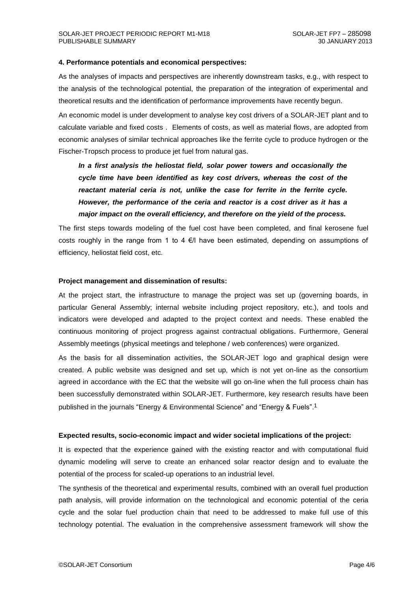#### **4. Performance potentials and economical perspectives:**

As the analyses of impacts and perspectives are inherently downstream tasks, e.g., with respect to the analysis of the technological potential, the preparation of the integration of experimental and theoretical results and the identification of performance improvements have recently begun.

An economic model is under development to analyse key cost drivers of a SOLAR-JET plant and to calculate variable and fixed costs . Elements of costs, as well as material flows, are adopted from economic analyses of similar technical approaches like the ferrite cycle to produce hydrogen or the Fischer-Tropsch process to produce jet fuel from natural gas.

# *In a first analysis the heliostat field, solar power towers and occasionally the cycle time have been identified as key cost drivers, whereas the cost of the reactant material ceria is not, unlike the case for ferrite in the ferrite cycle. However, the performance of the ceria and reactor is a cost driver as it has a major impact on the overall efficiency, and therefore on the yield of the process.*

The first steps towards modeling of the fuel cost have been completed, and final kerosene fuel costs roughly in the range from 1 to 4  $\epsilon$ /l have been estimated, depending on assumptions of efficiency, heliostat field cost, etc.

#### **Project management and dissemination of results:**

At the project start, the infrastructure to manage the project was set up (governing boards, in particular General Assembly; internal website including project repository, etc.), and tools and indicators were developed and adapted to the project context and needs. These enabled the continuous monitoring of project progress against contractual obligations. Furthermore, General Assembly meetings (physical meetings and telephone / web conferences) were organized.

As the basis for all dissemination activities, the SOLAR-JET logo and graphical design were created. A public website was designed and set up, which is not yet on-line as the consortium agreed in accordance with the EC that the website will go on-line when the full process chain has been successfully demonstrated within SOLAR-JET. Furthermore, key research results have been published in the journals "Energy & Environmental Science" and "Energy & Fuels".<sup>1</sup>

#### **Expected results, socio-economic impact and wider societal implications of the project:**

It is expected that the experience gained with the existing reactor and with computational fluid dynamic modeling will serve to create an enhanced solar reactor design and to evaluate the potential of the process for scaled-up operations to an industrial level.

The synthesis of the theoretical and experimental results, combined with an overall fuel production path analysis, will provide information on the technological and economic potential of the ceria cycle and the solar fuel production chain that need to be addressed to make full use of this technology potential. The evaluation in the comprehensive assessment framework will show the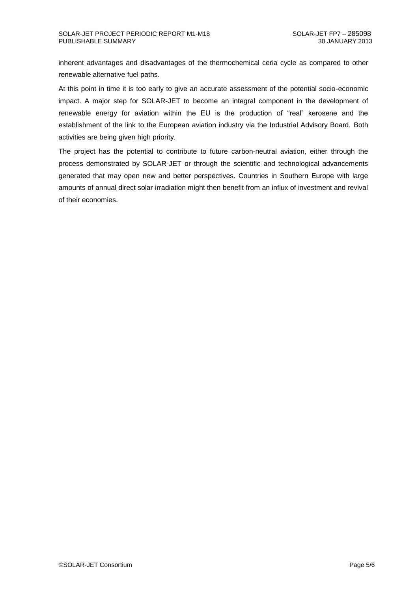inherent advantages and disadvantages of the thermochemical ceria cycle as compared to other renewable alternative fuel paths.

At this point in time it is too early to give an accurate assessment of the potential socio-economic impact. A major step for SOLAR-JET to become an integral component in the development of renewable energy for aviation within the EU is the production of "real" kerosene and the establishment of the link to the European aviation industry via the Industrial Advisory Board. Both activities are being given high priority.

The project has the potential to contribute to future carbon-neutral aviation, either through the process demonstrated by SOLAR-JET or through the scientific and technological advancements generated that may open new and better perspectives. Countries in Southern Europe with large amounts of annual direct solar irradiation might then benefit from an influx of investment and revival of their economies.